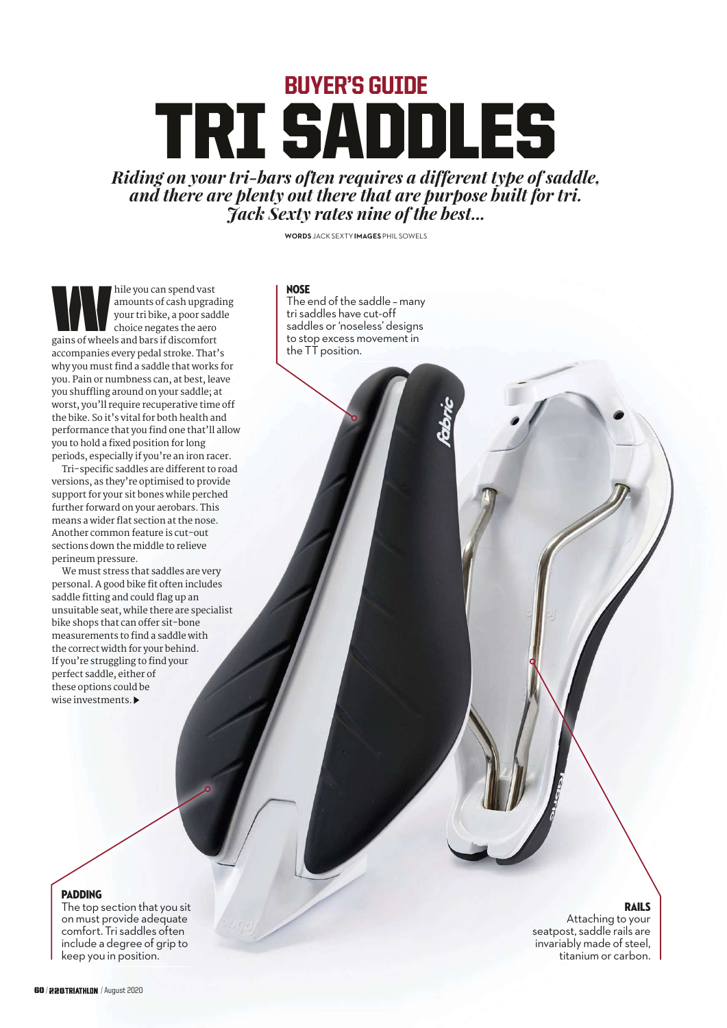# BUYER'S GUIDE TRI SADDLES

*Riding on your tri-bars often requires a different type of saddle, and there are plenty out there that are purpose built for tri. Jack Sexty rates nine of the best...*

**WORDS** JACK SEXTY **IMAGES** PHIL SOWELS

#### **NOSE**

The end of the saddle – many tri saddles have cut-off saddles or 'noseless' designs to stop excess movement in the TT position.

W hile you can spend vast amounts of cash upgrading your tri bike, a poor saddle choice negates the aero gains of wheels and bars if discomfort accompanies every pedal stroke. That's why you must find a saddle that works for you. Pain or numbness can, at best, leave you shuffling around on your saddle; at worst, you'll require recuperative time off the bike. So it's vital for both health and performance that you find one that'll allow you to hold a fixed position for long periods, especially if you're an iron racer.

Tri-specific saddles are different to road versions, as they're optimised to provide support for your sit bones while perched further forward on your aerobars. This means a wider flat section at the nose. Another common feature is cut-out sections down the middle to relieve perineum pressure.

We must stress that saddles are very personal. A good bike fit often includes saddle fitting and could flag up an unsuitable seat, while there are specialist bike shops that can offer sit-bone measurements to find a saddle with the correct width for your behind. If you're struggling to find your perfect saddle, either of these options could be wise investments.

#### Rails

Attaching to your seatpost, saddle rails are invariably made of steel, titanium or carbon.

#### **PADDING**

The top section that you sit on must provide adequate comfort. Tri saddles often include a degree of grip to keep you in position.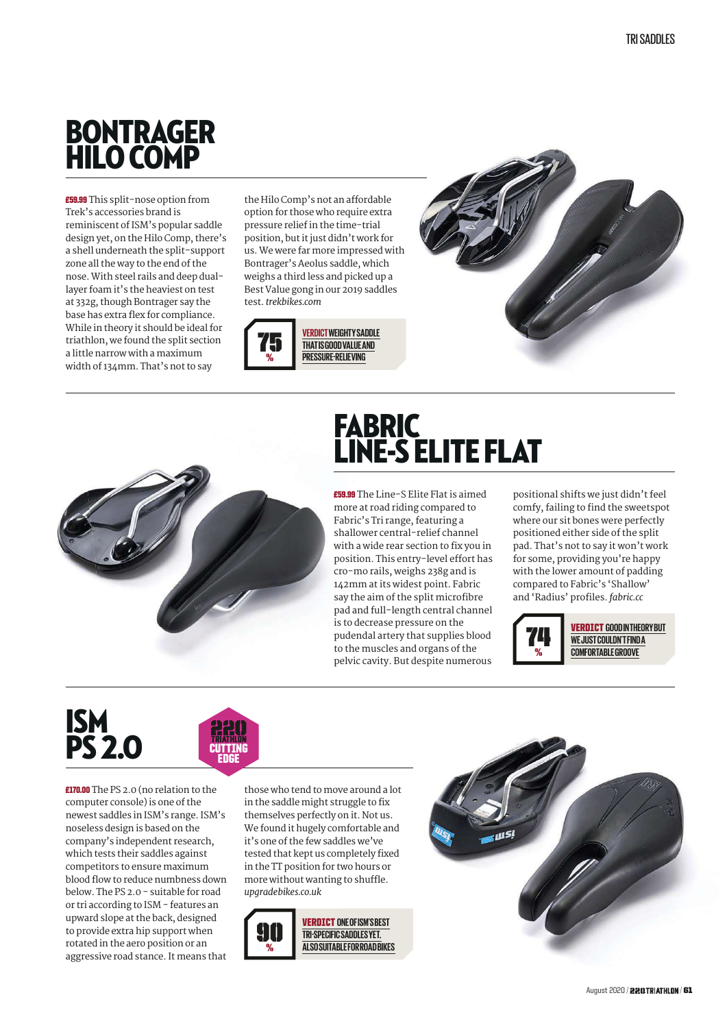#### BONTRAGER HILO COMP

£59.99 This split-nose option from Trek's accessories brand is reminiscent of ISM's popular saddle design yet, on the Hilo Comp, there's a shell underneath the split-support zone all the way to the end of the nose. With steel rails and deep duallayer foam it's the heaviest on test at 332g, though Bontrager say the base has extra flex for compliance. While in theory it should be ideal for triathlon, we found the split section a little narrow with a maximum width of 134mm. That's not to say

the Hilo Comp's not an affordable option for those who require extra pressure relief in the time-trial position, but it just didn't work for us. We were far more impressed with Bontrager's Aeolus saddle, which weighs a third less and picked up a Best Value gong in our 2019 saddles test. *trekbikes.com*





## **FABRIC** LINE-S ELITE FLAT

£59.99 The Line-S Elite Flat is aimed more at road riding compared to Fabric's Tri range, featuring a shallower central-relief channel with a wide rear section to fix you in position. This entry-level effort has cro-mo rails, weighs 238g and is 142mm at its widest point. Fabric say the aim of the split microfibre pad and full-length central channel is to decrease pressure on the pudendal artery that supplies blood to the muscles and organs of the pelvic cavity. But despite numerous

positional shifts we just didn't feel comfy, failing to find the sweetspot where our sit bones were perfectly positioned either side of the split pad. That's not to say it won't work for some, providing you're happy with the lower amount of padding compared to Fabric's 'Shallow' and 'Radius' profiles. *fabric.cc*



VERDICT **GOOD IN THEORY BUT WE JUST COULDN'T FIND A COMFORTABLE GROOVE**





£170.00 The PS 2.0 (no relation to the computer console) is one of the newest saddles in ISM's range. ISM's noseless design is based on the company's independent research, which tests their saddles against competitors to ensure maximum blood flow to reduce numbness down below. The PS 2.0 - suitable for road or tri according to ISM - features an upward slope at the back, designed to provide extra hip support when rotated in the aero position or an aggressive road stance. It means that

those who tend to move around a lot in the saddle might struggle to fix themselves perfectly on it. Not us. We found it hugely comfortable and it's one of the few saddles we've tested that kept us completely fixed in the TT position for two hours or more without wanting to shuffle. *upgradebikes.co.uk*



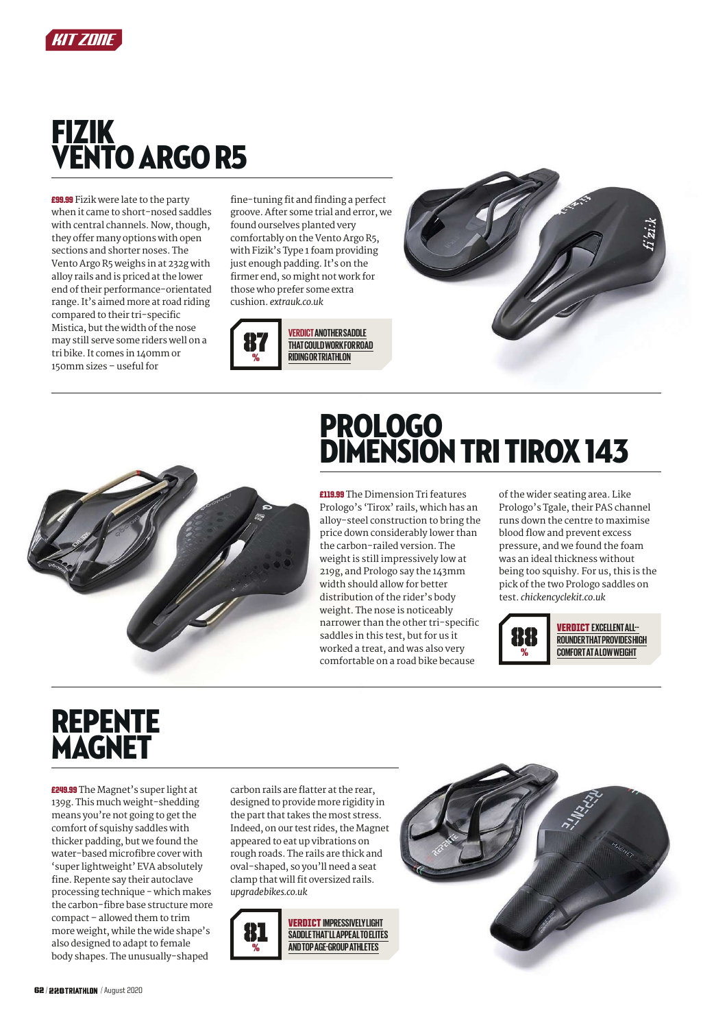

#### FIZIK VENTO ARGO R5

£99.99 Fizik were late to the party when it came to short-nosed saddles with central channels. Now, though, they offer many options with open sections and shorter noses. The Vento Argo R5 weighs in at 232g with alloy rails and is priced at the lower end of their performance-orientated range. It's aimed more at road riding compared to their tri-specific Mistica, but the width of the nose may still serve some riders well on a tri bike. It comes in 140mm or 150mm sizes – useful for

fine-tuning fit and finding a perfect groove. After some trial and error, we found ourselves planted very comfortably on the Vento Argo R5, with Fizik's Type 1 foam providing just enough padding. It's on the firmer end, so might not work for those who prefer some extra cushion. *extrauk.co.uk*







### PROLOGO DIMENSION TRI TIROX 143

£119.99 The Dimension Tri features Prologo's 'Tirox' rails, which has an alloy-steel construction to bring the price down considerably lower than the carbon-railed version. The weight is still impressively low at 219g, and Prologo say the 143mm width should allow for better distribution of the rider's body weight. The nose is noticeably narrower than the other tri-specific saddles in this test, but for us it worked a treat, and was also very comfortable on a road bike because

of the wider seating area. Like Prologo's Tgale, their PAS channel runs down the centre to maximise blood flow and prevent excess pressure, and we found the foam was an ideal thickness without being too squishy. For us, this is the pick of the two Prologo saddles on test. *chickencyclekit.co.uk*



VERDICT **EXCELLENT ALL-- ROUNDER THAT PROVIDES HIGH COMFORT AT A LOW WEIGHT**

### REPENTE MAGNET

£249.99 The Magnet's super light at 139g. This much weight-shedding means you're not going to get the comfort of squishy saddles with thicker padding, but we found the water-based microfibre cover with 'super lightweight' EVA absolutely fine. Repente say their autoclave processing technique - which makes the carbon-fibre base structure more compact – allowed them to trim more weight, while the wide shape's also designed to adapt to female body shapes. The unusually-shaped

carbon rails are flatter at the rear, designed to provide more rigidity in the part that takes the most stress. Indeed, on our test rides, the Magnet appeared to eat up vibrations on rough roads. The rails are thick and oval-shaped, so you'll need a seat clamp that will fit oversized rails. *upgradebikes.co.uk*